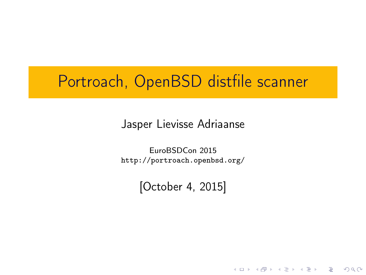## Portroach, OpenBSD distfile scanner

Jasper Lievisse Adriaanse

EuroBSDCon 2015 <http://portroach.openbsd.org/>

[October 4, 2015]

**KORK START A BRANDLINE**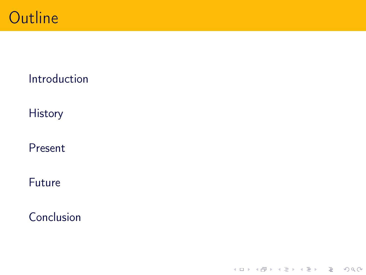

### [Introduction](#page-2-0)

**[History](#page-5-0)** 

[Present](#page-10-0)

[Future](#page-22-0)

[Conclusion](#page-24-0)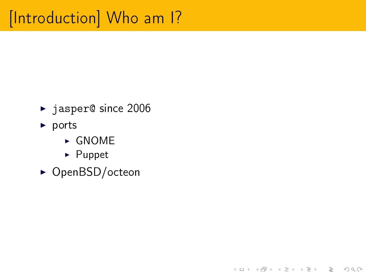# <span id="page-2-0"></span>[Introduction] Who am I?

- ▶ jasper@ since 2006
- $\blacktriangleright$  ports
	- $\triangleright$  GNOME
	- $\blacktriangleright$  Puppet
- ▶ OpenBSD/octeon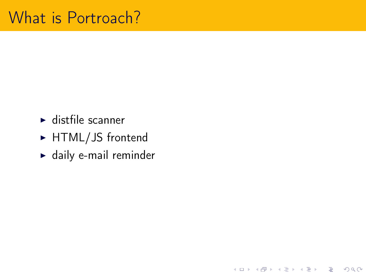- $\blacktriangleright$  distfile scanner
- ► HTML/JS frontend
- $\blacktriangleright$  daily e-mail reminder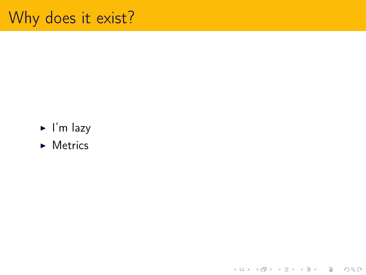## Why does it exist?

- $\blacktriangleright$  I'm lazy
- $\blacktriangleright$  Metrics

**KID KINK KEX KEX - E - YO QO**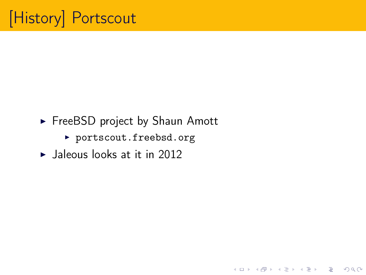- <span id="page-5-0"></span>► FreeBSD project by Shaun Amott
	- ▶ <portscout.freebsd.org>

 $\blacktriangleright$  Jaleous looks at it in 2012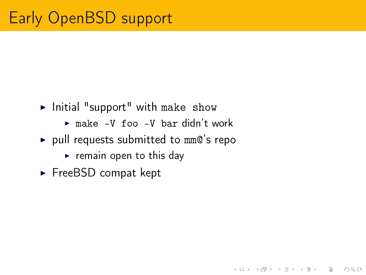- $\blacktriangleright$  Initial "support" with make show
	- $\triangleright$  make -V foo -V bar didn't work

K ロ ▶ K 레 ▶ K 코 ▶ K 코 ▶ 『코 │ ◆ 9 Q Q ←

- $\rightarrow$  pull requests submitted to mm@'s repo
	- $\triangleright$  remain open to this day
- $\blacktriangleright$  FreeBSD compat kept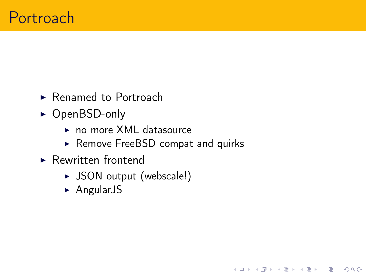- $\blacktriangleright$  Renamed to Portroach
- $\triangleright$  OpenBSD-only
	- $\triangleright$  no more XML datasource
	- ▶ Remove FreeBSD compat and quirks

- $\blacktriangleright$  Rewritten frontend
	- ▶ JSON output (webscale!)
	- $\triangleright$  AngularJS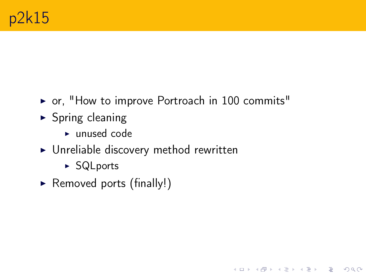$\triangleright$  or, "How to improve Portroach in 100 commits"

- $\triangleright$  Spring cleaning
	- $\blacktriangleright$  unused code
- $\triangleright$  Unreliable discovery method rewritten
	- ▶ SQLports
- $\triangleright$  Removed ports (finally!)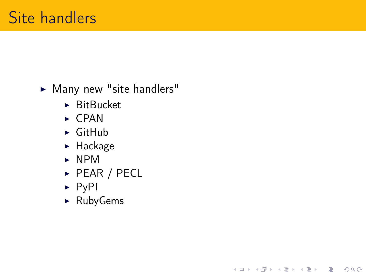### $\blacktriangleright$  Many new "site handlers"

- $\blacktriangleright$  BitBucket
- $\triangleright$  CPAN
- $\triangleright$  GitHub
- $\blacktriangleright$  Hackage
- $\triangleright$  NPM
- $\triangleright$  PEAR / PECL

K ロ > K 個 > K 差 > K 差 > → 差 → の Q Q <

- $\triangleright$  PyPI
- $\blacktriangleright$  RubyGems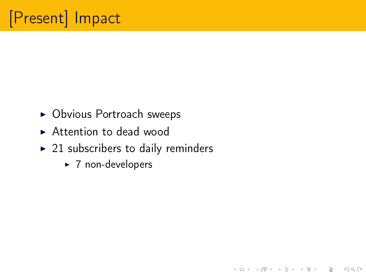- <span id="page-10-0"></span> $\triangleright$  Obvious Portroach sweeps
- $\triangleright$  Attention to dead wood
- $\blacktriangleright$  21 subscribers to daily reminders

 $\blacktriangleright$  7 non-developers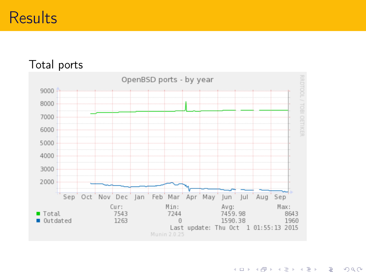## **Results**

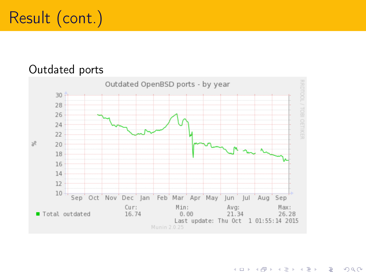# Result (cont.)

#### Outdated ports



イロト イ押ト イヨト イヨト È.  $QQQ$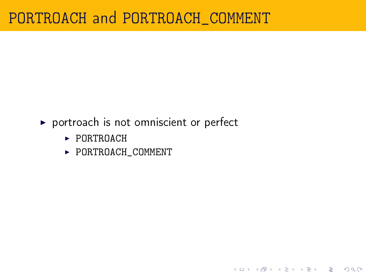### PORTROACH and PORTROACH\_COMMENT

 $\triangleright$  portroach is not omniscient or perfect

**K ロ X 〈 日 X X 王 X X 王 X X 王 X Y 〈 Q Q 〈 V** 

- $\triangleright$  PORTROACH
- $\blacktriangleright$  PORTROACH\_COMMENT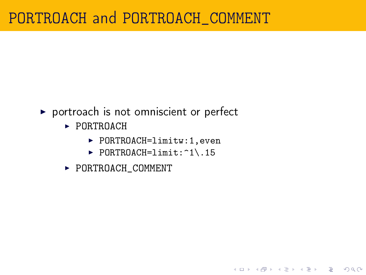## PORTROACH and PORTROACH\_COMMENT

- $\triangleright$  portroach is not omniscient or perfect
	- $\blacktriangleright$  PORTROACH
		- $\blacktriangleright$  PORTROACH=limitw:1,even
		- $\blacktriangleright$  PORTROACH=limit: $\hat{1}\cdot\hat{1}$ .15

**K ロ X 〈 日 X X 王 X X 王 X X 王 X Y 〈 Q Q 〈 V** 

 $\blacktriangleright$  PORTROACH\_COMMENT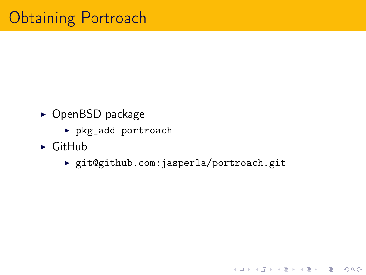- $\triangleright$  OpenBSD package
	- <sup>I</sup> pkg\_add portroach
- $\triangleright$  GitHub
	- ▶ git@github.com:jasperla/portroach.git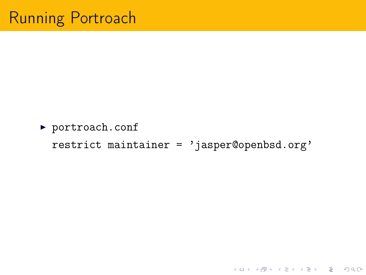▶ portroach.conf restrict maintainer = 'jasper@openbsd.org'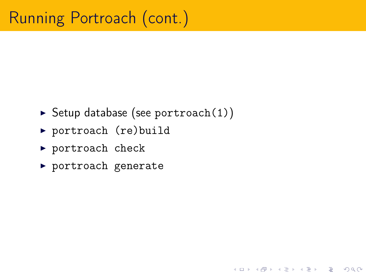$\triangleright$  Setup database (see portroach(1))

K ロ ▶ K 레 ▶ K 코 ▶ K 코 ▶ 『코 │ ◆ 9 Q Q ←

- ▶ portroach (re)build
- $\blacktriangleright$  portroach check
- $\blacktriangleright$  portroach generate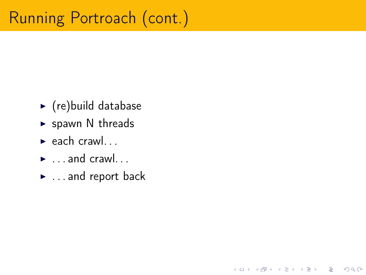# Running Portroach (cont.)

- $\blacktriangleright$  (re) build database
- $\triangleright$  spawn N threads
- $\blacktriangleright$  each crawl...
- $\blacktriangleright$  ... and crawl...
- $\blacktriangleright$  ... and report back

K ロ > K 個 > K 差 > K 差 > → 差 → の Q Q <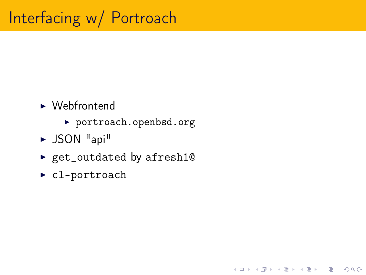- $\blacktriangleright$  Webfrontend
	- ▶ <portroach.openbsd.org>

- $\triangleright$  JSON "api"
- ► get\_outdated by afresh10
- $\blacktriangleright$  cl-portroach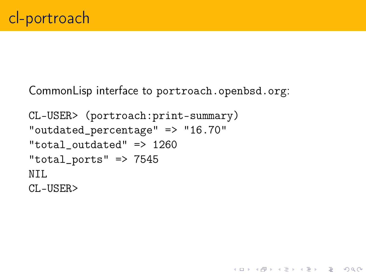CommonLisp interface to <portroach.openbsd.org>:

K ロ ▶ K 레 ▶ K 코 ▶ K 코 ▶ 『코 │ ◆ 9 Q Q ←

```
CL-USER> (portroach:print-summary)
"outdated_percentage" => "16.70"
"total outdated" \Rightarrow 1260
"total_ports" => 7545
NTI.
CL-USER>
```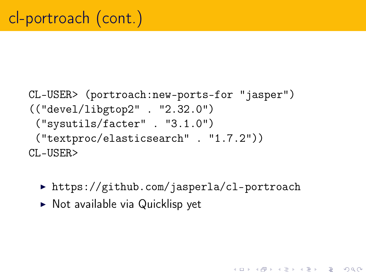```
CL-USER> (portroach:new-ports-for "jasper")
(("devel/libgtop2" . "2.32.0")
 ("sysutils/facter" . "3.1.0")
 ("textproc/elasticsearch" . "1.7.2"))
CL-USER>
```
▶ <https://github.com/jasperla/cl-portroach>

**KOD RED RED CORPORATION** 

 $\triangleright$  Not available via Quicklisp yet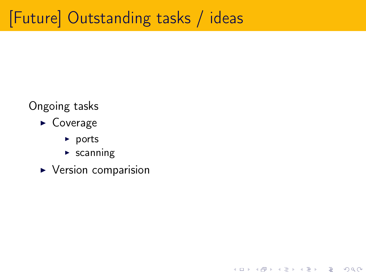# <span id="page-22-0"></span>[Future] Outstanding tasks / ideas

イロト イ母 トイミト イミト ニヨー りんぺ

### Ongoing tasks

- $\triangleright$  Coverage
	- $\blacktriangleright$  ports
	- $\blacktriangleright$  scanning
- $\blacktriangleright$  Version comparision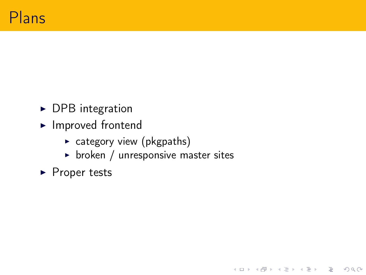- $\triangleright$  DPB integration
- $\blacktriangleright$  Improved frontend
	- $\triangleright$  category view (pkgpaths)
	- $\triangleright$  broken / unresponsive master sites

 $\blacktriangleright$  Proper tests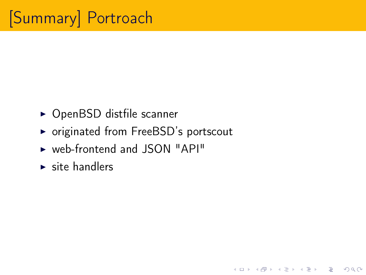- <span id="page-24-0"></span> $\triangleright$  OpenBSD distfile scanner
- ▶ originated from FreeBSD's portscout

- $\triangleright$  web-frontend and JSON "API"
- $\blacktriangleright$  site handlers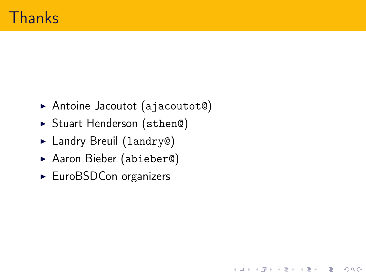▶ Antoine Jacoutot (ajacoutot©)

K ロ ▶ K 레 ▶ K 코 ▶ K 코 ▶ 『코 │ ◆ 9 Q Q ←

- ▶ Stuart Henderson (sthen@)
- ► Landry Breuil (landry@)
- ▶ Aaron Bieber (abieber@)
- $\blacktriangleright$  EuroBSDCon organizers